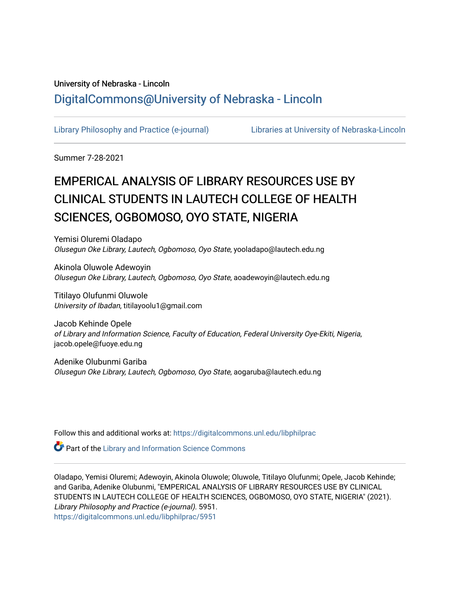# University of Nebraska - Lincoln [DigitalCommons@University of Nebraska - Lincoln](https://digitalcommons.unl.edu/)

[Library Philosophy and Practice \(e-journal\)](https://digitalcommons.unl.edu/libphilprac) [Libraries at University of Nebraska-Lincoln](https://digitalcommons.unl.edu/libraries) 

Summer 7-28-2021

# EMPERICAL ANALYSIS OF LIBRARY RESOURCES USE BY CLINICAL STUDENTS IN LAUTECH COLLEGE OF HEALTH SCIENCES, OGBOMOSO, OYO STATE, NIGERIA

Yemisi Oluremi Oladapo Olusegun Oke Library, Lautech, Ogbomoso, Oyo State, yooladapo@lautech.edu.ng

Akinola Oluwole Adewoyin Olusegun Oke Library, Lautech, Ogbomoso, Oyo State, aoadewoyin@lautech.edu.ng

Titilayo Olufunmi Oluwole University of Ibadan, titilayoolu1@gmail.com

Jacob Kehinde Opele of Library and Information Science, Faculty of Education, Federal University Oye-Ekiti, Nigeria, jacob.opele@fuoye.edu.ng

Adenike Olubunmi Gariba Olusegun Oke Library, Lautech, Ogbomoso, Oyo State, aogaruba@lautech.edu.ng

Follow this and additional works at: [https://digitalcommons.unl.edu/libphilprac](https://digitalcommons.unl.edu/libphilprac?utm_source=digitalcommons.unl.edu%2Flibphilprac%2F5951&utm_medium=PDF&utm_campaign=PDFCoverPages) 

**Part of the Library and Information Science Commons** 

Oladapo, Yemisi Oluremi; Adewoyin, Akinola Oluwole; Oluwole, Titilayo Olufunmi; Opele, Jacob Kehinde; and Gariba, Adenike Olubunmi, "EMPERICAL ANALYSIS OF LIBRARY RESOURCES USE BY CLINICAL STUDENTS IN LAUTECH COLLEGE OF HEALTH SCIENCES, OGBOMOSO, OYO STATE, NIGERIA" (2021). Library Philosophy and Practice (e-journal). 5951. [https://digitalcommons.unl.edu/libphilprac/5951](https://digitalcommons.unl.edu/libphilprac/5951?utm_source=digitalcommons.unl.edu%2Flibphilprac%2F5951&utm_medium=PDF&utm_campaign=PDFCoverPages)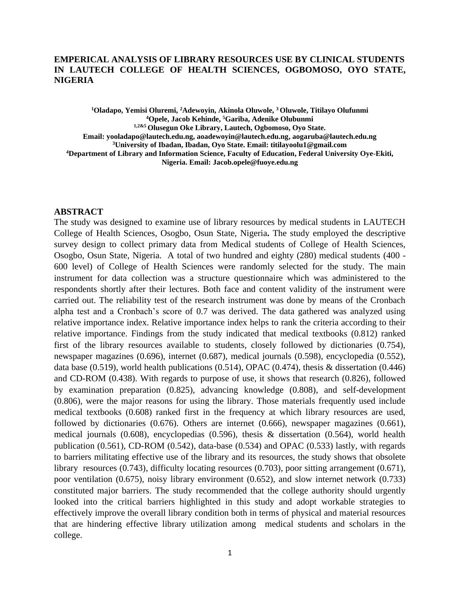# **EMPERICAL ANALYSIS OF LIBRARY RESOURCES USE BY CLINICAL STUDENTS IN LAUTECH COLLEGE OF HEALTH SCIENCES, OGBOMOSO, OYO STATE, NIGERIA**

**<sup>1</sup>Oladapo, Yemisi Oluremi, <sup>2</sup>Adewoyin, Akinola Oluwole, <sup>3</sup>Oluwole, Titilayo Olufunmi <sup>4</sup>Opele, Jacob Kehinde, <sup>5</sup>Gariba, Adenike Olubunmi 1,2&5 Olusegun Oke Library, Lautech, Ogbomoso, Oyo State. Email: yooladapo@lautech.edu.ng, aoadewoyin@lautech.edu.ng, aogaruba@lautech.edu.ng <sup>3</sup>University of Ibadan, Ibadan, Oyo State. Email: titilayoolu1@gmail.com <sup>4</sup>Department of Library and Information Science, Faculty of Education, Federal University Oye-Ekiti, Nigeria. Email: Jacob.opele@fuoye.edu.ng**

### **ABSTRACT**

The study was designed to examine use of library resources by medical students in LAUTECH College of Health Sciences, Osogbo, Osun State, Nigeria**.** The study employed the descriptive survey design to collect primary data from Medical students of College of Health Sciences, Osogbo, Osun State, Nigeria. A total of two hundred and eighty (280) medical students (400 - 600 level) of College of Health Sciences were randomly selected for the study. The main instrument for data collection was a structure questionnaire which was administered to the respondents shortly after their lectures. Both face and content validity of the instrument were carried out. The reliability test of the research instrument was done by means of the Cronbach alpha test and a Cronbach's score of 0.7 was derived. The data gathered was analyzed using relative importance index. Relative importance index helps to rank the criteria according to their relative importance. Findings from the study indicated that medical textbooks (0.812) ranked first of the library resources available to students, closely followed by dictionaries (0.754), newspaper magazines (0.696), internet (0.687), medical journals (0.598), encyclopedia (0.552), data base (0.519), world health publications (0.514), OPAC (0.474), thesis & dissertation (0.446) and CD-ROM (0.438). With regards to purpose of use, it shows that research (0.826), followed by examination preparation (0.825), advancing knowledge (0.808), and self-development (0.806), were the major reasons for using the library. Those materials frequently used include medical textbooks (0.608) ranked first in the frequency at which library resources are used, followed by dictionaries (0.676). Others are internet (0.666), newspaper magazines (0.661), medical journals (0.608), encyclopedias (0.596), thesis & dissertation (0.564), world health publication (0.561), CD-ROM (0.542), data-base (0.534) and OPAC (0.533) lastly, with regards to barriers militating effective use of the library and its resources, the study shows that obsolete library resources (0.743), difficulty locating resources (0.703), poor sitting arrangement (0.671), poor ventilation (0.675), noisy library environment (0.652), and slow internet network (0.733) constituted major barriers. The study recommended that the college authority should urgently looked into the critical barriers highlighted in this study and adopt workable strategies to effectively improve the overall library condition both in terms of physical and material resources that are hindering effective library utilization among medical students and scholars in the college.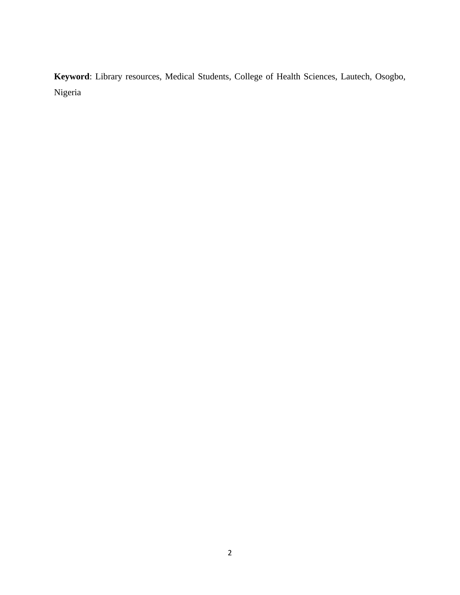**Keyword**: Library resources, Medical Students, College of Health Sciences, Lautech, Osogbo, Nigeria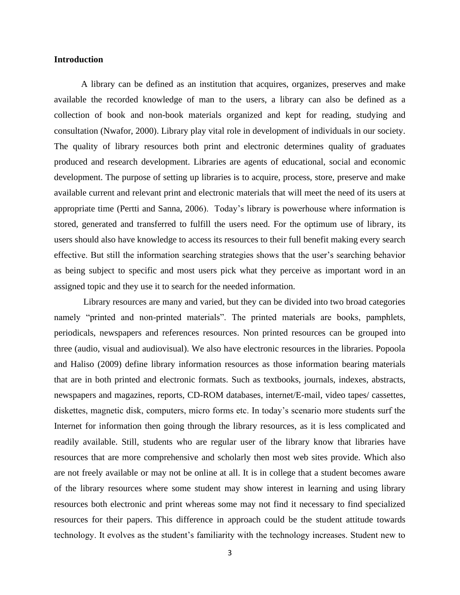# **Introduction**

A library can be defined as an institution that acquires, organizes, preserves and make available the recorded knowledge of man to the users, a library can also be defined as a collection of book and non-book materials organized and kept for reading, studying and consultation (Nwafor, 2000). Library play vital role in development of individuals in our society. The quality of library resources both print and electronic determines quality of graduates produced and research development. Libraries are agents of educational, social and economic development. The purpose of setting up libraries is to acquire, process, store, preserve and make available current and relevant print and electronic materials that will meet the need of its users at appropriate time (Pertti and Sanna, 2006). Today's library is powerhouse where information is stored, generated and transferred to fulfill the users need. For the optimum use of library, its users should also have knowledge to access its resources to their full benefit making every search effective. But still the information searching strategies shows that the user's searching behavior as being subject to specific and most users pick what they perceive as important word in an assigned topic and they use it to search for the needed information.

Library resources are many and varied, but they can be divided into two broad categories namely "printed and non-printed materials". The printed materials are books, pamphlets, periodicals, newspapers and references resources. Non printed resources can be grouped into three (audio, visual and audiovisual). We also have electronic resources in the libraries. Popoola and Haliso (2009) define library information resources as those information bearing materials that are in both printed and electronic formats. Such as textbooks, journals, indexes, abstracts, newspapers and magazines, reports, CD-ROM databases, internet/E-mail, video tapes/ cassettes, diskettes, magnetic disk, computers, micro forms etc. In today's scenario more students surf the Internet for information then going through the library resources, as it is less complicated and readily available. Still, students who are regular user of the library know that libraries have resources that are more comprehensive and scholarly then most web sites provide. Which also are not freely available or may not be online at all. It is in college that a student becomes aware of the library resources where some student may show interest in learning and using library resources both electronic and print whereas some may not find it necessary to find specialized resources for their papers. This difference in approach could be the student attitude towards technology. It evolves as the student's familiarity with the technology increases. Student new to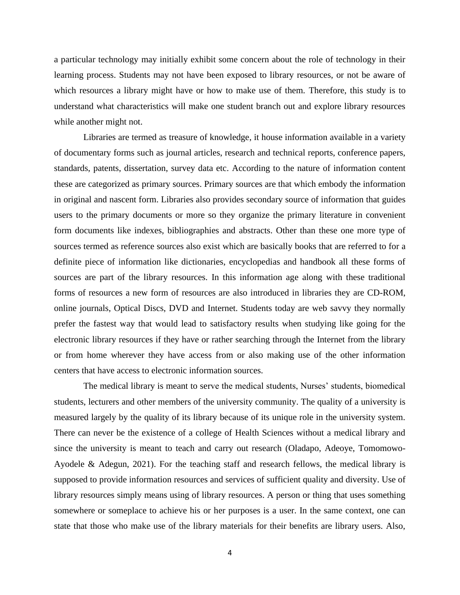a particular technology may initially exhibit some concern about the role of technology in their learning process. Students may not have been exposed to library resources, or not be aware of which resources a library might have or how to make use of them. Therefore, this study is to understand what characteristics will make one student branch out and explore library resources while another might not.

Libraries are termed as treasure of knowledge, it house information available in a variety of documentary forms such as journal articles, research and technical reports, conference papers, standards, patents, dissertation, survey data etc. According to the nature of information content these are categorized as primary sources. Primary sources are that which embody the information in original and nascent form. Libraries also provides secondary source of information that guides users to the primary documents or more so they organize the primary literature in convenient form documents like indexes, bibliographies and abstracts. Other than these one more type of sources termed as reference sources also exist which are basically books that are referred to for a definite piece of information like dictionaries, encyclopedias and handbook all these forms of sources are part of the library resources. In this information age along with these traditional forms of resources a new form of resources are also introduced in libraries they are CD-ROM, online journals, Optical Discs, DVD and Internet. Students today are web savvy they normally prefer the fastest way that would lead to satisfactory results when studying like going for the electronic library resources if they have or rather searching through the Internet from the library or from home wherever they have access from or also making use of the other information centers that have access to electronic information sources.

The medical library is meant to serve the medical students, Nurses' students, biomedical students, lecturers and other members of the university community. The quality of a university is measured largely by the quality of its library because of its unique role in the university system. There can never be the existence of a college of Health Sciences without a medical library and since the university is meant to teach and carry out research (Oladapo, Adeoye, Tomomowo-Ayodele & Adegun, 2021). For the teaching staff and research fellows, the medical library is supposed to provide information resources and services of sufficient quality and diversity. Use of library resources simply means using of library resources. A person or thing that uses something somewhere or someplace to achieve his or her purposes is a user. In the same context, one can state that those who make use of the library materials for their benefits are library users. Also,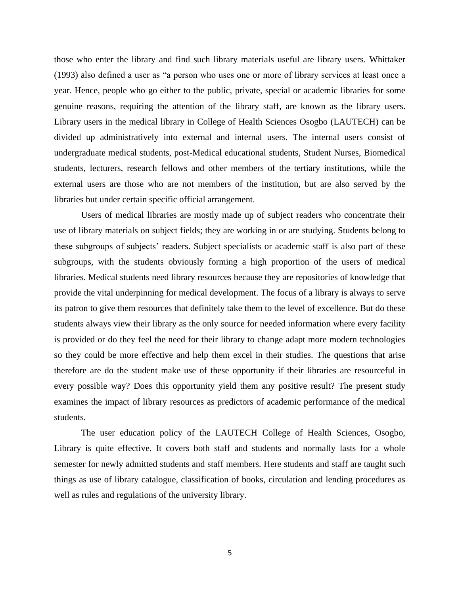those who enter the library and find such library materials useful are library users. Whittaker (1993) also defined a user as "a person who uses one or more of library services at least once a year. Hence, people who go either to the public, private, special or academic libraries for some genuine reasons, requiring the attention of the library staff, are known as the library users. Library users in the medical library in College of Health Sciences Osogbo (LAUTECH) can be divided up administratively into external and internal users. The internal users consist of undergraduate medical students, post-Medical educational students, Student Nurses, Biomedical students, lecturers, research fellows and other members of the tertiary institutions, while the external users are those who are not members of the institution, but are also served by the libraries but under certain specific official arrangement.

Users of medical libraries are mostly made up of subject readers who concentrate their use of library materials on subject fields; they are working in or are studying. Students belong to these subgroups of subjects' readers. Subject specialists or academic staff is also part of these subgroups, with the students obviously forming a high proportion of the users of medical libraries. Medical students need library resources because they are repositories of knowledge that provide the vital underpinning for medical development. The focus of a library is always to serve its patron to give them resources that definitely take them to the level of excellence. But do these students always view their library as the only source for needed information where every facility is provided or do they feel the need for their library to change adapt more modern technologies so they could be more effective and help them excel in their studies. The questions that arise therefore are do the student make use of these opportunity if their libraries are resourceful in every possible way? Does this opportunity yield them any positive result? The present study examines the impact of library resources as predictors of academic performance of the medical students.

The user education policy of the LAUTECH College of Health Sciences, Osogbo, Library is quite effective. It covers both staff and students and normally lasts for a whole semester for newly admitted students and staff members. Here students and staff are taught such things as use of library catalogue, classification of books, circulation and lending procedures as well as rules and regulations of the university library.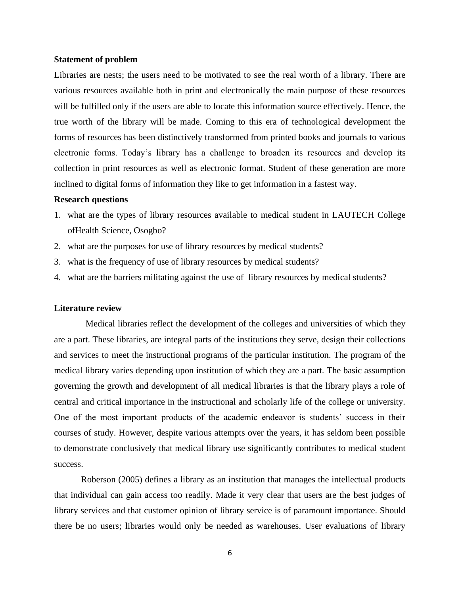#### **Statement of problem**

Libraries are nests; the users need to be motivated to see the real worth of a library. There are various resources available both in print and electronically the main purpose of these resources will be fulfilled only if the users are able to locate this information source effectively. Hence, the true worth of the library will be made. Coming to this era of technological development the forms of resources has been distinctively transformed from printed books and journals to various electronic forms. Today's library has a challenge to broaden its resources and develop its collection in print resources as well as electronic format. Student of these generation are more inclined to digital forms of information they like to get information in a fastest way.

### **Research questions**

- 1. what are the types of library resources available to medical student in LAUTECH College ofHealth Science, Osogbo?
- 2. what are the purposes for use of library resources by medical students?
- 3. what is the frequency of use of library resources by medical students?
- 4. what are the barriers militating against the use of library resources by medical students?

### **Literature review**

 Medical libraries reflect the development of the colleges and universities of which they are a part. These libraries, are integral parts of the institutions they serve, design their collections and services to meet the instructional programs of the particular institution. The program of the medical library varies depending upon institution of which they are a part. The basic assumption governing the growth and development of all medical libraries is that the library plays a role of central and critical importance in the instructional and scholarly life of the college or university. One of the most important products of the academic endeavor is students' success in their courses of study. However, despite various attempts over the years, it has seldom been possible to demonstrate conclusively that medical library use significantly contributes to medical student success.

Roberson (2005) defines a library as an institution that manages the intellectual products that individual can gain access too readily. Made it very clear that users are the best judges of library services and that customer opinion of library service is of paramount importance. Should there be no users; libraries would only be needed as warehouses. User evaluations of library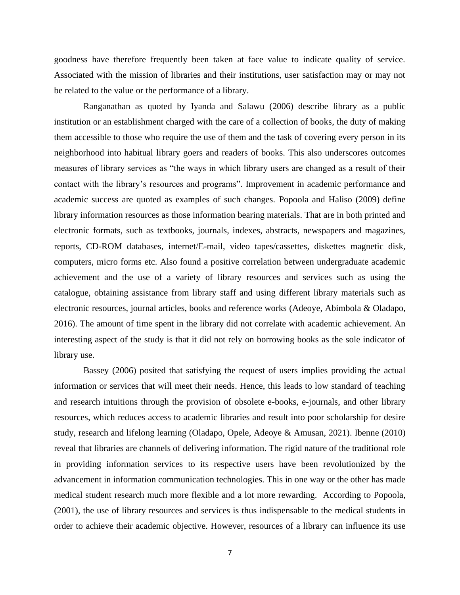goodness have therefore frequently been taken at face value to indicate quality of service. Associated with the mission of libraries and their institutions, user satisfaction may or may not be related to the value or the performance of a library.

Ranganathan as quoted by Iyanda and Salawu (2006) describe library as a public institution or an establishment charged with the care of a collection of books, the duty of making them accessible to those who require the use of them and the task of covering every person in its neighborhood into habitual library goers and readers of books. This also underscores outcomes measures of library services as "the ways in which library users are changed as a result of their contact with the library's resources and programs"*.* Improvement in academic performance and academic success are quoted as examples of such changes. Popoola and Haliso (2009) define library information resources as those information bearing materials. That are in both printed and electronic formats, such as textbooks, journals, indexes, abstracts, newspapers and magazines, reports, CD-ROM databases, internet/E-mail, video tapes/cassettes, diskettes magnetic disk, computers, micro forms etc. Also found a positive correlation between undergraduate academic achievement and the use of a variety of library resources and services such as using the catalogue, obtaining assistance from library staff and using different library materials such as electronic resources, journal articles, books and reference works (Adeoye, Abimbola & Oladapo, 2016). The amount of time spent in the library did not correlate with academic achievement. An interesting aspect of the study is that it did not rely on borrowing books as the sole indicator of library use.

Bassey (2006) posited that satisfying the request of users implies providing the actual information or services that will meet their needs. Hence, this leads to low standard of teaching and research intuitions through the provision of obsolete e-books, e-journals, and other library resources, which reduces access to academic libraries and result into poor scholarship for desire study, research and lifelong learning (Oladapo, Opele, Adeoye & Amusan, 2021). Ibenne (2010) reveal that libraries are channels of delivering information. The rigid nature of the traditional role in providing information services to its respective users have been revolutionized by the advancement in information communication technologies. This in one way or the other has made medical student research much more flexible and a lot more rewarding. According to Popoola, (2001), the use of library resources and services is thus indispensable to the medical students in order to achieve their academic objective. However, resources of a library can influence its use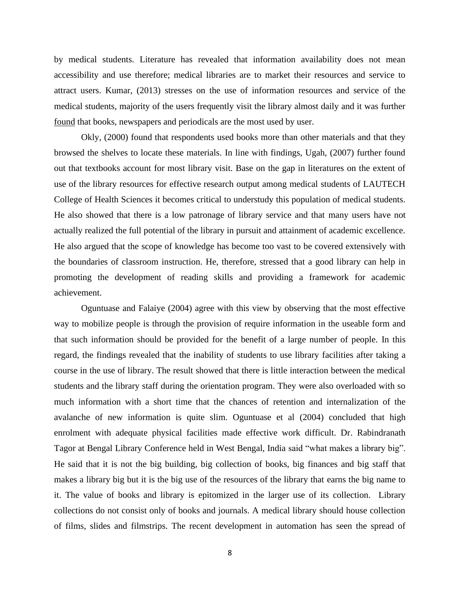by medical students. Literature has revealed that information availability does not mean accessibility and use therefore; medical libraries are to market their resources and service to attract users. Kumar, (2013) stresses on the use of information resources and service of the medical students, majority of the users frequently visit the library almost daily and it was further found that books, newspapers and periodicals are the most used by user.

Okly, (2000) found that respondents used books more than other materials and that they browsed the shelves to locate these materials. In line with findings, Ugah, (2007) further found out that textbooks account for most library visit. Base on the gap in literatures on the extent of use of the library resources for effective research output among medical students of LAUTECH College of Health Sciences it becomes critical to understudy this population of medical students. He also showed that there is a low patronage of library service and that many users have not actually realized the full potential of the library in pursuit and attainment of academic excellence. He also argued that the scope of knowledge has become too vast to be covered extensively with the boundaries of classroom instruction. He, therefore, stressed that a good library can help in promoting the development of reading skills and providing a framework for academic achievement.

Oguntuase and Falaiye (2004) agree with this view by observing that the most effective way to mobilize people is through the provision of require information in the useable form and that such information should be provided for the benefit of a large number of people. In this regard, the findings revealed that the inability of students to use library facilities after taking a course in the use of library. The result showed that there is little interaction between the medical students and the library staff during the orientation program. They were also overloaded with so much information with a short time that the chances of retention and internalization of the avalanche of new information is quite slim. Oguntuase et al (2004) concluded that high enrolment with adequate physical facilities made effective work difficult. Dr. Rabindranath Tagor at Bengal Library Conference held in West Bengal, India said "what makes a library big". He said that it is not the big building, big collection of books, big finances and big staff that makes a library big but it is the big use of the resources of the library that earns the big name to it. The value of books and library is epitomized in the larger use of its collection. Library collections do not consist only of books and journals. A medical library should house collection of films, slides and filmstrips. The recent development in automation has seen the spread of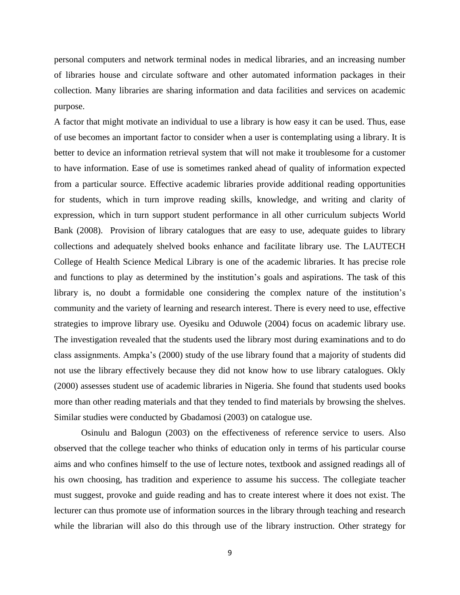personal computers and network terminal nodes in medical libraries, and an increasing number of libraries house and circulate software and other automated information packages in their collection. Many libraries are sharing information and data facilities and services on academic purpose.

A factor that might motivate an individual to use a library is how easy it can be used. Thus, ease of use becomes an important factor to consider when a user is contemplating using a library. It is better to device an information retrieval system that will not make it troublesome for a customer to have information. Ease of use is sometimes ranked ahead of quality of information expected from a particular source. Effective academic libraries provide additional reading opportunities for students, which in turn improve reading skills, knowledge, and writing and clarity of expression, which in turn support student performance in all other curriculum subjects World Bank (2008). Provision of library catalogues that are easy to use, adequate guides to library collections and adequately shelved books enhance and facilitate library use. The LAUTECH College of Health Science Medical Library is one of the academic libraries. It has precise role and functions to play as determined by the institution's goals and aspirations. The task of this library is, no doubt a formidable one considering the complex nature of the institution's community and the variety of learning and research interest. There is every need to use, effective strategies to improve library use. Oyesiku and Oduwole (2004) focus on academic library use. The investigation revealed that the students used the library most during examinations and to do class assignments. Ampka's (2000) study of the use library found that a majority of students did not use the library effectively because they did not know how to use library catalogues. Okly (2000) assesses student use of academic libraries in Nigeria. She found that students used books more than other reading materials and that they tended to find materials by browsing the shelves. Similar studies were conducted by Gbadamosi (2003) on catalogue use.

Osinulu and Balogun (2003) on the effectiveness of reference service to users. Also observed that the college teacher who thinks of education only in terms of his particular course aims and who confines himself to the use of lecture notes, textbook and assigned readings all of his own choosing, has tradition and experience to assume his success. The collegiate teacher must suggest, provoke and guide reading and has to create interest where it does not exist. The lecturer can thus promote use of information sources in the library through teaching and research while the librarian will also do this through use of the library instruction. Other strategy for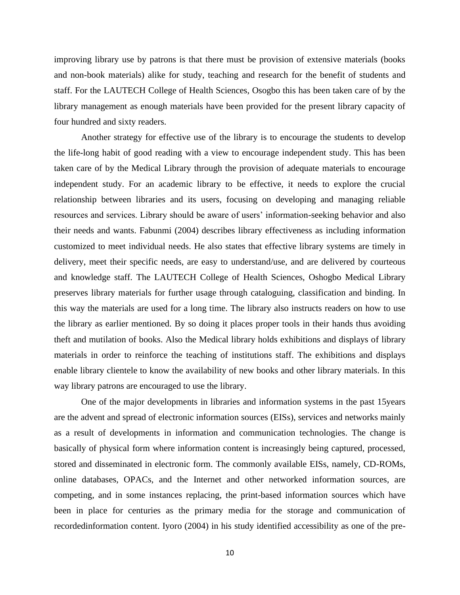improving library use by patrons is that there must be provision of extensive materials (books and non-book materials) alike for study, teaching and research for the benefit of students and staff. For the LAUTECH College of Health Sciences, Osogbo this has been taken care of by the library management as enough materials have been provided for the present library capacity of four hundred and sixty readers.

Another strategy for effective use of the library is to encourage the students to develop the life-long habit of good reading with a view to encourage independent study. This has been taken care of by the Medical Library through the provision of adequate materials to encourage independent study. For an academic library to be effective, it needs to explore the crucial relationship between libraries and its users, focusing on developing and managing reliable resources and services. Library should be aware of users' information-seeking behavior and also their needs and wants. Fabunmi (2004) describes library effectiveness as including information customized to meet individual needs. He also states that effective library systems are timely in delivery, meet their specific needs, are easy to understand/use, and are delivered by courteous and knowledge staff. The LAUTECH College of Health Sciences, Oshogbo Medical Library preserves library materials for further usage through cataloguing, classification and binding. In this way the materials are used for a long time. The library also instructs readers on how to use the library as earlier mentioned. By so doing it places proper tools in their hands thus avoiding theft and mutilation of books. Also the Medical library holds exhibitions and displays of library materials in order to reinforce the teaching of institutions staff. The exhibitions and displays enable library clientele to know the availability of new books and other library materials. In this way library patrons are encouraged to use the library.

One of the major developments in libraries and information systems in the past 15years are the advent and spread of electronic information sources (EISs), services and networks mainly as a result of developments in information and communication technologies. The change is basically of physical form where information content is increasingly being captured, processed, stored and disseminated in electronic form. The commonly available EISs, namely, CD-ROMs, online databases, OPACs, and the Internet and other networked information sources, are competing, and in some instances replacing, the print-based information sources which have been in place for centuries as the primary media for the storage and communication of recordedinformation content. Iyoro (2004) in his study identified accessibility as one of the pre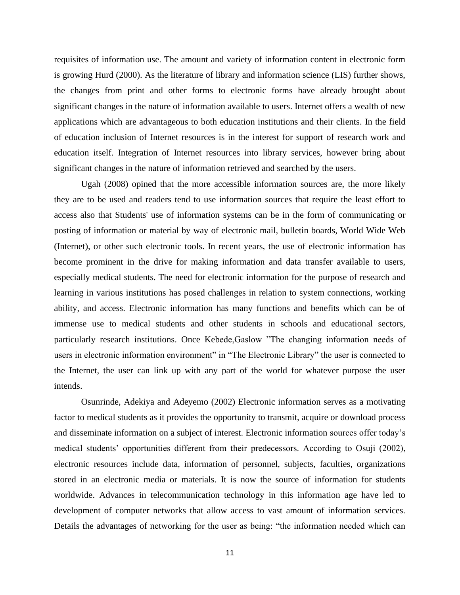requisites of information use. The amount and variety of information content in electronic form is growing Hurd (2000). As the literature of library and information science (LIS) further shows, the changes from print and other forms to electronic forms have already brought about significant changes in the nature of information available to users. Internet offers a wealth of new applications which are advantageous to both education institutions and their clients. In the field of education inclusion of Internet resources is in the interest for support of research work and education itself. Integration of Internet resources into library services, however bring about significant changes in the nature of information retrieved and searched by the users.

Ugah (2008) opined that the more accessible information sources are, the more likely they are to be used and readers tend to use information sources that require the least effort to access also that Students' use of information systems can be in the form of communicating or posting of information or material by way of electronic mail, bulletin boards, World Wide Web (Internet), or other such electronic tools. In recent years, the use of electronic information has become prominent in the drive for making information and data transfer available to users, especially medical students. The need for electronic information for the purpose of research and learning in various institutions has posed challenges in relation to system connections, working ability, and access. Electronic information has many functions and benefits which can be of immense use to medical students and other students in schools and educational sectors, particularly research institutions. Once Kebede,Gaslow "The changing information needs of users in electronic information environment" in "The Electronic Library" the user is connected to the Internet, the user can link up with any part of the world for whatever purpose the user intends.

Osunrinde, Adekiya and Adeyemo (2002) Electronic information serves as a motivating factor to medical students as it provides the opportunity to transmit, acquire or download process and disseminate information on a subject of interest. Electronic information sources offer today's medical students' opportunities different from their predecessors. According to Osuji (2002), electronic resources include data, information of personnel, subjects, faculties, organizations stored in an electronic media or materials. It is now the source of information for students worldwide. Advances in telecommunication technology in this information age have led to development of computer networks that allow access to vast amount of information services. Details the advantages of networking for the user as being: "the information needed which can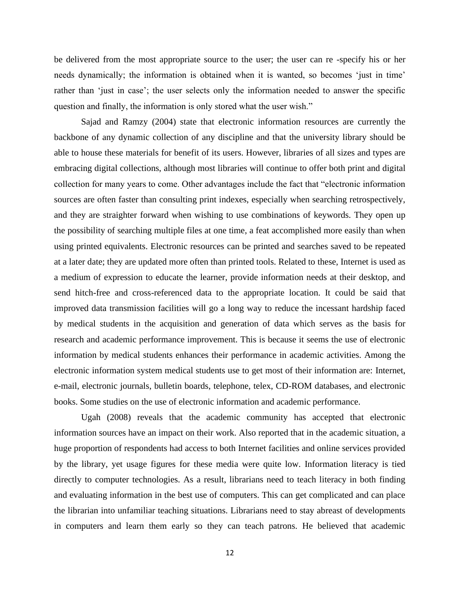be delivered from the most appropriate source to the user; the user can re -specify his or her needs dynamically; the information is obtained when it is wanted, so becomes 'just in time' rather than 'just in case'; the user selects only the information needed to answer the specific question and finally, the information is only stored what the user wish."

Sajad and Ramzy (2004) state that electronic information resources are currently the backbone of any dynamic collection of any discipline and that the university library should be able to house these materials for benefit of its users. However, libraries of all sizes and types are embracing digital collections, although most libraries will continue to offer both print and digital collection for many years to come. Other advantages include the fact that "electronic information sources are often faster than consulting print indexes, especially when searching retrospectively, and they are straighter forward when wishing to use combinations of keywords. They open up the possibility of searching multiple files at one time, a feat accomplished more easily than when using printed equivalents. Electronic resources can be printed and searches saved to be repeated at a later date; they are updated more often than printed tools. Related to these, Internet is used as a medium of expression to educate the learner, provide information needs at their desktop, and send hitch-free and cross-referenced data to the appropriate location. It could be said that improved data transmission facilities will go a long way to reduce the incessant hardship faced by medical students in the acquisition and generation of data which serves as the basis for research and academic performance improvement. This is because it seems the use of electronic information by medical students enhances their performance in academic activities. Among the electronic information system medical students use to get most of their information are: Internet, e-mail, electronic journals, bulletin boards, telephone, telex, CD-ROM databases, and electronic books. Some studies on the use of electronic information and academic performance.

Ugah (2008) reveals that the academic community has accepted that electronic information sources have an impact on their work. Also reported that in the academic situation, a huge proportion of respondents had access to both Internet facilities and online services provided by the library, yet usage figures for these media were quite low. Information literacy is tied directly to computer technologies. As a result, librarians need to teach literacy in both finding and evaluating information in the best use of computers. This can get complicated and can place the librarian into unfamiliar teaching situations. Librarians need to stay abreast of developments in computers and learn them early so they can teach patrons. He believed that academic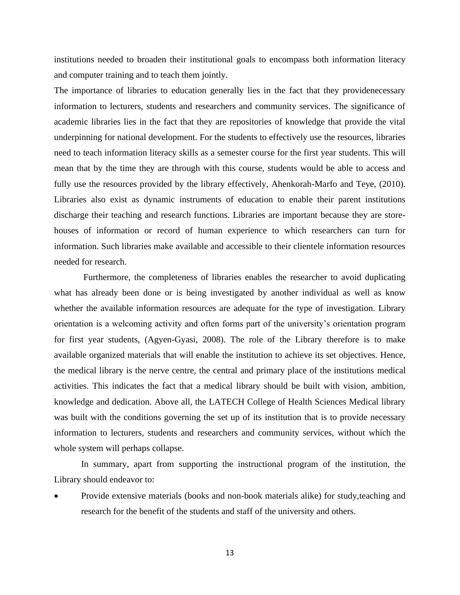institutions needed to broaden their institutional goals to encompass both information literacy and computer training and to teach them jointly.

The importance of libraries to education generally lies in the fact that they providenecessary information to lecturers, students and researchers and community services. The significance of academic libraries lies in the fact that they are repositories of knowledge that provide the vital underpinning for national development. For the students to effectively use the resources, libraries need to teach information literacy skills as a semester course for the first year students. This will mean that by the time they are through with this course, students would be able to access and fully use the resources provided by the library effectively, Ahenkorah-Marfo and Teye, (2010). Libraries also exist as dynamic instruments of education to enable their parent institutions discharge their teaching and research functions. Libraries are important because they are storehouses of information or record of human experience to which researchers can turn for information. Such libraries make available and accessible to their clientele information resources needed for research.

Furthermore, the completeness of libraries enables the researcher to avoid duplicating what has already been done or is being investigated by another individual as well as know whether the available information resources are adequate for the type of investigation. Library orientation is a welcoming activity and often forms part of the university's orientation program for first year students, (Agyen-Gyasi, 2008). The role of the Library therefore is to make available organized materials that will enable the institution to achieve its set objectives. Hence, the medical library is the nerve centre, the central and primary place of the institutions medical activities. This indicates the fact that a medical library should be built with vision, ambition, knowledge and dedication. Above all, the LATECH College of Health Sciences Medical library was built with the conditions governing the set up of its institution that is to provide necessary information to lecturers, students and researchers and community services, without which the whole system will perhaps collapse.

In summary, apart from supporting the instructional program of the institution, the Library should endeavor to:

• Provide extensive materials (books and non-book materials alike) for study,teaching and research for the benefit of the students and staff of the university and others.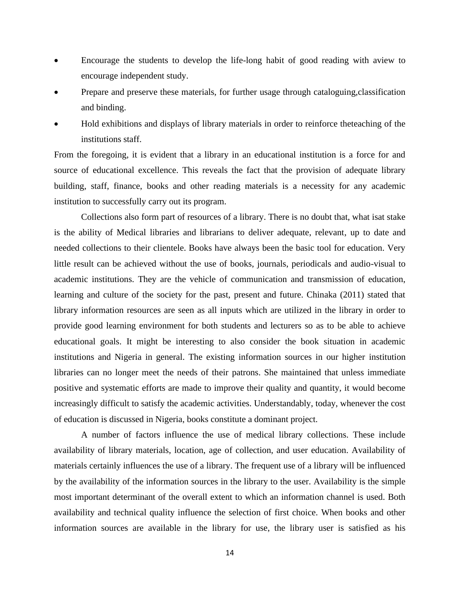- Encourage the students to develop the life-long habit of good reading with aview to encourage independent study.
- Prepare and preserve these materials, for further usage through cataloguing,classification and binding.
- Hold exhibitions and displays of library materials in order to reinforce theteaching of the institutions staff.

From the foregoing, it is evident that a library in an educational institution is a force for and source of educational excellence. This reveals the fact that the provision of adequate library building, staff, finance, books and other reading materials is a necessity for any academic institution to successfully carry out its program.

Collections also form part of resources of a library. There is no doubt that, what isat stake is the ability of Medical libraries and librarians to deliver adequate, relevant, up to date and needed collections to their clientele. Books have always been the basic tool for education. Very little result can be achieved without the use of books, journals, periodicals and audio-visual to academic institutions. They are the vehicle of communication and transmission of education, learning and culture of the society for the past, present and future. Chinaka (2011) stated that library information resources are seen as all inputs which are utilized in the library in order to provide good learning environment for both students and lecturers so as to be able to achieve educational goals. It might be interesting to also consider the book situation in academic institutions and Nigeria in general. The existing information sources in our higher institution libraries can no longer meet the needs of their patrons. She maintained that unless immediate positive and systematic efforts are made to improve their quality and quantity, it would become increasingly difficult to satisfy the academic activities. Understandably, today, whenever the cost of education is discussed in Nigeria, books constitute a dominant project.

A number of factors influence the use of medical library collections. These include availability of library materials, location, age of collection, and user education. Availability of materials certainly influences the use of a library. The frequent use of a library will be influenced by the availability of the information sources in the library to the user. Availability is the simple most important determinant of the overall extent to which an information channel is used. Both availability and technical quality influence the selection of first choice. When books and other information sources are available in the library for use, the library user is satisfied as his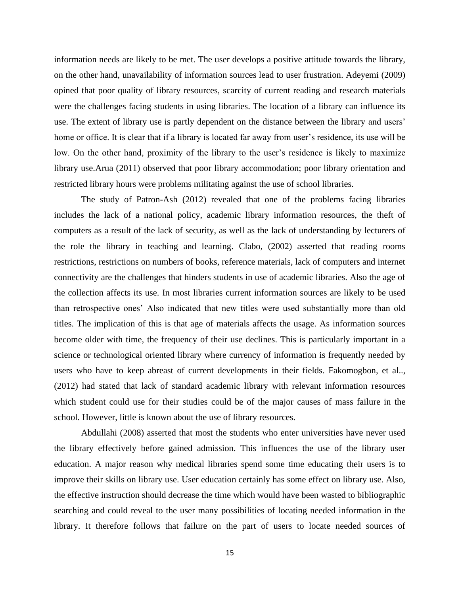information needs are likely to be met. The user develops a positive attitude towards the library, on the other hand, unavailability of information sources lead to user frustration. Adeyemi (2009) opined that poor quality of library resources, scarcity of current reading and research materials were the challenges facing students in using libraries. The location of a library can influence its use. The extent of library use is partly dependent on the distance between the library and users' home or office. It is clear that if a library is located far away from user's residence, its use will be low. On the other hand, proximity of the library to the user's residence is likely to maximize library use.Arua (2011) observed that poor library accommodation; poor library orientation and restricted library hours were problems militating against the use of school libraries.

The study of Patron-Ash (2012) revealed that one of the problems facing libraries includes the lack of a national policy, academic library information resources, the theft of computers as a result of the lack of security, as well as the lack of understanding by lecturers of the role the library in teaching and learning. Clabo, (2002) asserted that reading rooms restrictions, restrictions on numbers of books, reference materials, lack of computers and internet connectivity are the challenges that hinders students in use of academic libraries. Also the age of the collection affects its use. In most libraries current information sources are likely to be used than retrospective ones' Also indicated that new titles were used substantially more than old titles. The implication of this is that age of materials affects the usage. As information sources become older with time, the frequency of their use declines. This is particularly important in a science or technological oriented library where currency of information is frequently needed by users who have to keep abreast of current developments in their fields. Fakomogbon, et al.., (2012) had stated that lack of standard academic library with relevant information resources which student could use for their studies could be of the major causes of mass failure in the school. However, little is known about the use of library resources.

Abdullahi (2008) asserted that most the students who enter universities have never used the library effectively before gained admission. This influences the use of the library user education. A major reason why medical libraries spend some time educating their users is to improve their skills on library use. User education certainly has some effect on library use. Also, the effective instruction should decrease the time which would have been wasted to bibliographic searching and could reveal to the user many possibilities of locating needed information in the library. It therefore follows that failure on the part of users to locate needed sources of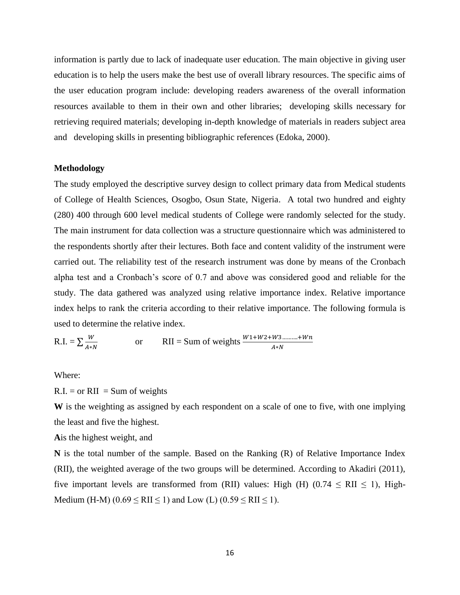information is partly due to lack of inadequate user education. The main objective in giving user education is to help the users make the best use of overall library resources. The specific aims of the user education program include: developing readers awareness of the overall information resources available to them in their own and other libraries; developing skills necessary for retrieving required materials; developing in-depth knowledge of materials in readers subject area and developing skills in presenting bibliographic references (Edoka, 2000).

#### **Methodology**

The study employed the descriptive survey design to collect primary data from Medical students of College of Health Sciences, Osogbo, Osun State, Nigeria. A total two hundred and eighty (280) 400 through 600 level medical students of College were randomly selected for the study. The main instrument for data collection was a structure questionnaire which was administered to the respondents shortly after their lectures. Both face and content validity of the instrument were carried out. The reliability test of the research instrument was done by means of the Cronbach alpha test and a Cronbach's score of 0.7 and above was considered good and reliable for the study. The data gathered was analyzed using relative importance index. Relative importance index helps to rank the criteria according to their relative importance. The following formula is used to determine the relative index.

R.I. = 
$$
\sum \frac{W}{A*N}
$$
 or RII = Sum of weights  $\frac{W1+W2+W3...........+Wh}{A*N}$ 

Where:

 $R.I. = or RII = Sum of weights$ 

**W** is the weighting as assigned by each respondent on a scale of one to five, with one implying the least and five the highest.

**A**is the highest weight, and

**N** is the total number of the sample. Based on the Ranking (R) of Relative Importance Index (RII), the weighted average of the two groups will be determined. According to Akadiri (2011), five important levels are transformed from (RII) values: High (H)  $(0.74 \leq RII \leq 1)$ , High-Medium (H-M) ( $0.69 \leq RII \leq 1$ ) and Low (L) ( $0.59 \leq RII \leq 1$ ).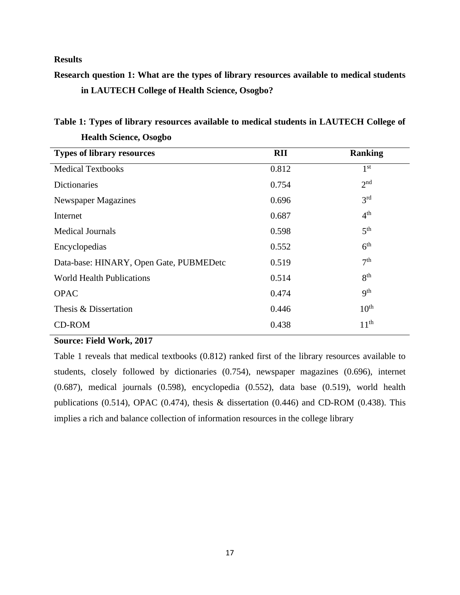# **Results**

# **Research question 1: What are the types of library resources available to medical students in LAUTECH College of Health Science, Osogbo?**

| <b>RII</b> | <b>Ranking</b>   |
|------------|------------------|
| 0.812      | 1 <sup>st</sup>  |
| 0.754      | 2 <sup>nd</sup>  |
| 0.696      | 3 <sup>rd</sup>  |
| 0.687      | 4 <sup>th</sup>  |
| 0.598      | 5 <sup>th</sup>  |
| 0.552      | 6 <sup>th</sup>  |
| 0.519      | 7 <sup>th</sup>  |
| 0.514      | 8 <sup>th</sup>  |
| 0.474      | q <sup>th</sup>  |
| 0.446      | $10^{\text{th}}$ |
| 0.438      | 11 <sup>th</sup> |
|            |                  |

# **Table 1: Types of library resources available to medical students in LAUTECH College of Health Science, Osogbo**

### **Source: Field Work, 2017**

Table 1 reveals that medical textbooks (0.812) ranked first of the library resources available to students, closely followed by dictionaries (0.754), newspaper magazines (0.696), internet (0.687), medical journals (0.598), encyclopedia (0.552), data base (0.519), world health publications (0.514), OPAC (0.474), thesis & dissertation (0.446) and CD-ROM (0.438). This implies a rich and balance collection of information resources in the college library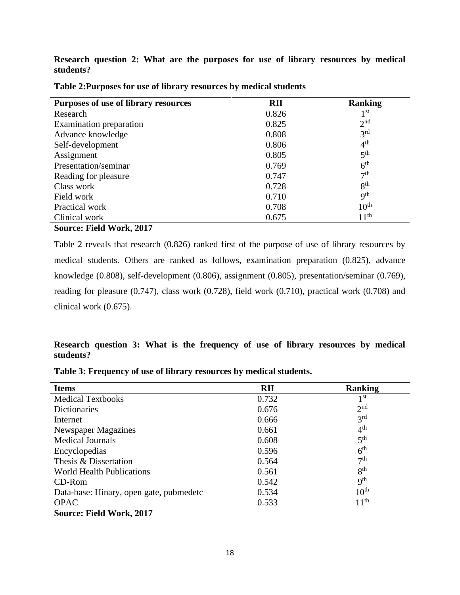**Research question 2: What are the purposes for use of library resources by medical students?** 

| Purposes of use of library resources | <b>RII</b> | <b>Ranking</b>           |
|--------------------------------------|------------|--------------------------|
| Research                             | 0.826      | 1 st                     |
| Examination preparation              | 0.825      | 2 <sub>nd</sub>          |
| Advance knowledge                    | 0.808      | 3 <sup>rd</sup>          |
| Self-development                     | 0.806      | $4^{\text{th}}$          |
| Assignment                           | 0.805      | 5 <sup>th</sup>          |
| Presentation/seminar                 | 0.769      | 6 <sup>th</sup>          |
| Reading for pleasure                 | 0.747      | 7 <sup>th</sup>          |
| Class work                           | 0.728      | 8 <sup>th</sup>          |
| Field work                           | 0.710      | $\mathbf{Q}^{\text{th}}$ |
| Practical work                       | 0.708      | 10 <sup>th</sup>         |
| Clinical work                        | 0.675      | $11^{\text{th}}$         |

**Table 2:Purposes for use of library resources by medical students**

# **Source: Field Work, 2017**

Table 2 reveals that research (0.826) ranked first of the purpose of use of library resources by medical students. Others are ranked as follows, examination preparation (0.825), advance knowledge (0.808), self-development (0.806), assignment (0.805), presentation/seminar (0.769), reading for pleasure (0.747), class work (0.728), field work (0.710), practical work (0.708) and clinical work (0.675).

# **Research question 3: What is the frequency of use of library resources by medical students?**

| <b>Items</b>                            | <b>RII</b> | <b>Ranking</b>           |
|-----------------------------------------|------------|--------------------------|
| <b>Medical Textbooks</b>                | 0.732      | 1 <sup>st</sup>          |
| Dictionaries                            | 0.676      | 2 <sub>nd</sub>          |
| Internet                                | 0.666      | 3 <sup>rd</sup>          |
| Newspaper Magazines                     | 0.661      | 4 <sup>th</sup>          |
| <b>Medical Journals</b>                 | 0.608      | 5 <sup>th</sup>          |
| Encyclopedias                           | 0.596      | 6 <sup>th</sup>          |
| Thesis & Dissertation                   | 0.564      | 7 <sup>th</sup>          |
| <b>World Health Publications</b>        | 0.561      | 8 <sup>th</sup>          |
| CD-Rom                                  | 0.542      | $\mathbf{Q}^{\text{th}}$ |
| Data-base: Hinary, open gate, pubmedetc | 0.534      | 10 <sup>th</sup>         |
| <b>OPAC</b>                             | 0.533      | 11 <sup>th</sup>         |
| Source: Field Work, 2017                |            |                          |

**Table 3: Frequency of use of library resources by medical students.**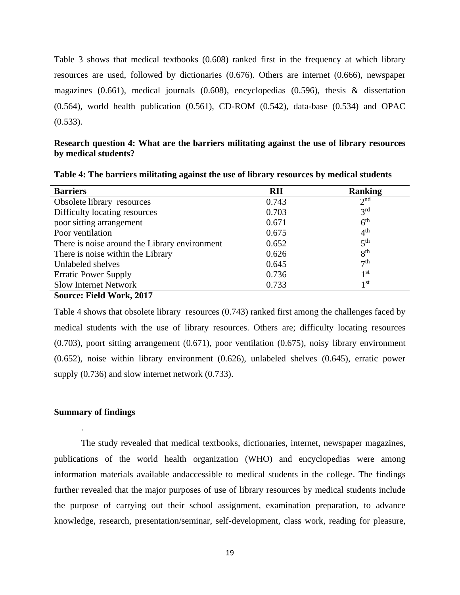Table 3 shows that medical textbooks (0.608) ranked first in the frequency at which library resources are used, followed by dictionaries (0.676). Others are internet (0.666), newspaper magazines (0.661), medical journals (0.608), encyclopedias (0.596), thesis & dissertation (0.564), world health publication (0.561), CD-ROM (0.542), data-base (0.534) and OPAC  $(0.533)$ .

### **Research question 4: What are the barriers militating against the use of library resources by medical students?**

| <b>Barriers</b>                               | <b>RII</b> | <b>Ranking</b>  |
|-----------------------------------------------|------------|-----------------|
| Obsolete library resources                    | 0.743      | 2 <sub>nd</sub> |
| Difficulty locating resources                 | 0.703      | 3 <sup>rd</sup> |
| poor sitting arrangement                      | 0.671      | 6 <sup>th</sup> |
| Poor ventilation                              | 0.675      | 4 <sup>th</sup> |
| There is noise around the Library environment | 0.652      | 5 <sup>th</sup> |
| There is noise within the Library             | 0.626      | 8 <sup>th</sup> |
| Unlabeled shelves                             | 0.645      | 7 <sup>th</sup> |
| <b>Erratic Power Supply</b>                   | 0.736      | 1 <sup>st</sup> |
| <b>Slow Internet Network</b>                  | 0.733      | 1 <sup>st</sup> |
| Source: Field Work, 2017                      |            |                 |

**Table 4: The barriers militating against the use of library resources by medical students**

Table 4 shows that obsolete library resources (0.743) ranked first among the challenges faced by medical students with the use of library resources. Others are; difficulty locating resources (0.703), poort sitting arrangement (0.671), poor ventilation (0.675), noisy library environment (0.652), noise within library environment (0.626), unlabeled shelves (0.645), erratic power supply (0.736) and slow internet network (0.733).

### **Summary of findings**

.

The study revealed that medical textbooks, dictionaries, internet, newspaper magazines, publications of the world health organization (WHO) and encyclopedias were among information materials available andaccessible to medical students in the college. The findings further revealed that the major purposes of use of library resources by medical students include the purpose of carrying out their school assignment, examination preparation, to advance knowledge, research, presentation/seminar, self-development, class work, reading for pleasure,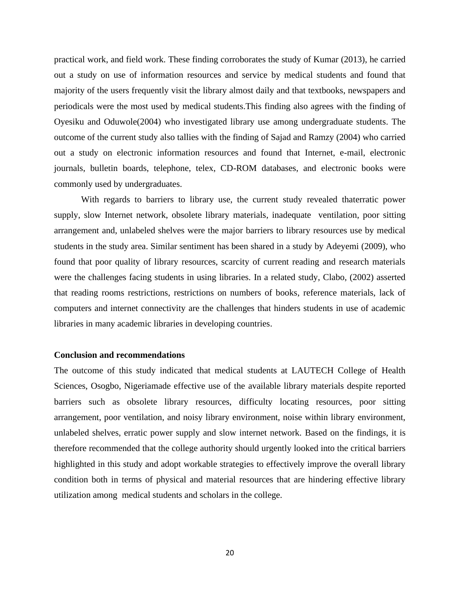practical work, and field work. These finding corroborates the study of Kumar (2013), he carried out a study on use of information resources and service by medical students and found that majority of the users frequently visit the library almost daily and that textbooks, newspapers and periodicals were the most used by medical students.This finding also agrees with the finding of Oyesiku and Oduwole(2004) who investigated library use among undergraduate students. The outcome of the current study also tallies with the finding of Sajad and Ramzy (2004) who carried out a study on electronic information resources and found that Internet, e-mail, electronic journals, bulletin boards, telephone, telex, CD-ROM databases, and electronic books were commonly used by undergraduates.

With regards to barriers to library use, the current study revealed thaterratic power supply, slow Internet network, obsolete library materials, inadequate ventilation, poor sitting arrangement and, unlabeled shelves were the major barriers to library resources use by medical students in the study area. Similar sentiment has been shared in a study by Adeyemi (2009), who found that poor quality of library resources, scarcity of current reading and research materials were the challenges facing students in using libraries. In a related study, Clabo, (2002) asserted that reading rooms restrictions, restrictions on numbers of books, reference materials, lack of computers and internet connectivity are the challenges that hinders students in use of academic libraries in many academic libraries in developing countries.

### **Conclusion and recommendations**

The outcome of this study indicated that medical students at LAUTECH College of Health Sciences, Osogbo, Nigeriamade effective use of the available library materials despite reported barriers such as obsolete library resources, difficulty locating resources, poor sitting arrangement, poor ventilation, and noisy library environment, noise within library environment, unlabeled shelves, erratic power supply and slow internet network. Based on the findings, it is therefore recommended that the college authority should urgently looked into the critical barriers highlighted in this study and adopt workable strategies to effectively improve the overall library condition both in terms of physical and material resources that are hindering effective library utilization among medical students and scholars in the college.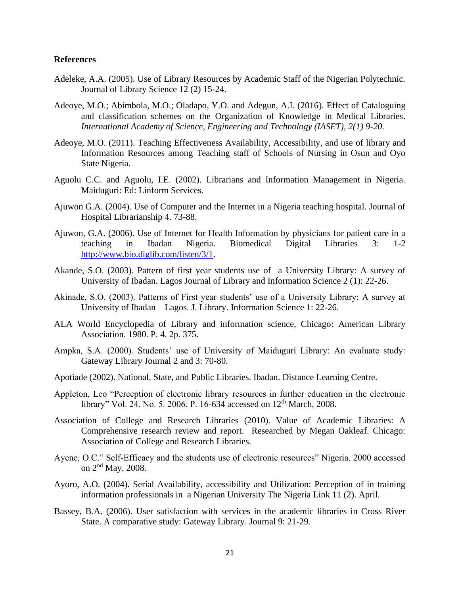### **References**

- Adeleke, A.A. (2005). Use of Library Resources by Academic Staff of the Nigerian Polytechnic. Journal of Library Science 12 (2) 15-24.
- Adeoye, M.O.; Abimbola, M.O.; Oladapo, Y.O. and Adegun, A.I. (2016). Effect of Cataloguing and classification schemes on the Organization of Knowledge in Medical Libraries. *International Academy of Science, Engineering and Technology (IASET), 2(1) 9-20.*
- Adeoye, M.O. (2011). Teaching Effectiveness Availability, Accessibility, and use of library and Information Resources among Teaching staff of Schools of Nursing in Osun and Oyo State Nigeria.
- Aguolu C.C. and Aguolu, I.E. (2002). Librarians and Information Management in Nigeria. Maiduguri: Ed: Linform Services.
- Ajuwon G.A. (2004). Use of Computer and the Internet in a Nigeria teaching hospital. Journal of Hospital Librarianship 4. 73-88.
- Ajuwon, G.A. (2006). Use of Internet for Health Information by physicians for patient care in a teaching in Ibadan Nigeria. Biomedical Digital Libraries 3: 1-2 [http://www.bio.diglib.com/listen/3/1.](http://www.bio.diglib.com/listen/3/1)
- Akande, S.O. (2003). Pattern of first year students use of a University Library: A survey of University of Ibadan. Lagos Journal of Library and Information Science 2 (1): 22-26.
- Akinade, S.O. (2003). Patterns of First year students' use of a University Library: A survey at University of Ibadan – Lagos. J. Library. Information Science 1: 22-26.
- ALA World Encyclopedia of Library and information science, Chicago: American Library Association. 1980. P. 4. 2p. 375.
- Ampka, S.A. (2000). Students' use of University of Maiduguri Library: An evaluate study: Gateway Library Journal 2 and 3: 70-80.
- Apotiade (2002). National, State, and Public Libraries. Ibadan. Distance Learning Centre.
- Appleton, Leo "Perception of electronic library resources in further education in the electronic library" Vol. 24. No. 5. 2006. P. 16-634 accessed on 12<sup>th</sup> March, 2008.
- Association of College and Research Libraries (2010). Value of Academic Libraries: A Comprehensive research review and report. Researched by Megan Oakleaf. Chicago: Association of College and Research Libraries.
- Ayene, O.C." Self-Efficacy and the students use of electronic resources" Nigeria. 2000 accessed on 2nd May, 2008.
- Ayoro, A.O. (2004). Serial Availability, accessibility and Utilization: Perception of in training information professionals in a Nigerian University The Nigeria Link 11 (2). April.
- Bassey, B.A. (2006). User satisfaction with services in the academic libraries in Cross River State. A comparative study: Gateway Library. Journal 9: 21-29.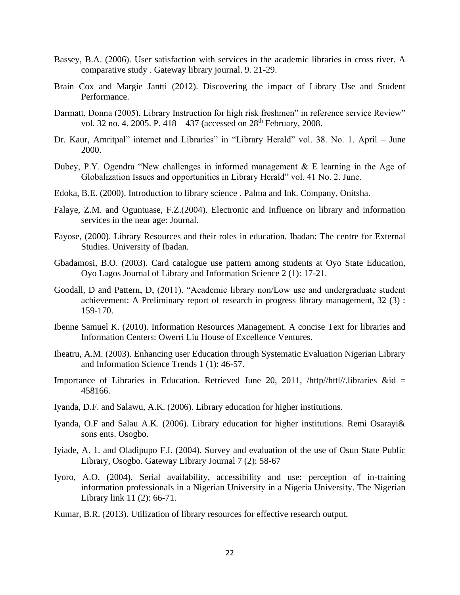- Bassey, B.A. (2006). User satisfaction with services in the academic libraries in cross river. A comparative study . Gateway library journal. 9. 21-29.
- Brain Cox and Margie Jantti (2012). Discovering the impact of Library Use and Student Performance.
- Darmatt, Donna (2005). Library Instruction for high risk freshmen" in reference service Review" vol. 32 no. 4. 2005. P. 418 – 437 (accessed on 28<sup>th</sup> February, 2008.
- Dr. Kaur, Amritpal" internet and Libraries" in "Library Herald" vol. 38. No. 1. April June 2000.
- Dubey, P.Y. Ogendra "New challenges in informed management & E learning in the Age of Globalization Issues and opportunities in Library Herald" vol. 41 No. 2. June.
- Edoka, B.E. (2000). Introduction to library science . Palma and Ink. Company, Onitsha.
- Falaye, Z.M. and Oguntuase, F.Z.(2004). Electronic and Influence on library and information services in the near age: Journal.
- Fayose, (2000). Library Resources and their roles in education. Ibadan: The centre for External Studies. University of Ibadan.
- Gbadamosi, B.O. (2003). Card catalogue use pattern among students at Oyo State Education, Oyo Lagos Journal of Library and Information Science 2 (1): 17-21.
- Goodall, D and Pattern, D, (2011). "Academic library non/Low use and undergraduate student achievement: A Preliminary report of research in progress library management, 32 (3) : 159-170.
- Ibenne Samuel K. (2010). Information Resources Management. A concise Text for libraries and Information Centers: Owerri Liu House of Excellence Ventures.
- Iheatru, A.M. (2003). Enhancing user Education through Systematic Evaluation Nigerian Library and Information Science Trends 1 (1): 46-57.
- Importance of Libraries in Education. Retrieved June 20, 2011, /http//httl//.libraries &id = 458166.
- Iyanda, D.F. and Salawu, A.K. (2006). Library education for higher institutions.
- Iyanda, O.F and Salau A.K. (2006). Library education for higher institutions. Remi Osarayi& sons ents. Osogbo.
- Iyiade, A. 1. and Oladipupo F.I. (2004). Survey and evaluation of the use of Osun State Public Library, Osogbo. Gateway Library Journal 7 (2): 58-67
- Iyoro, A.O. (2004). Serial availability, accessibility and use: perception of in-training information professionals in a Nigerian University in a Nigeria University. The Nigerian Library link 11 (2): 66-71.
- Kumar, B.R. (2013). Utilization of library resources for effective research output.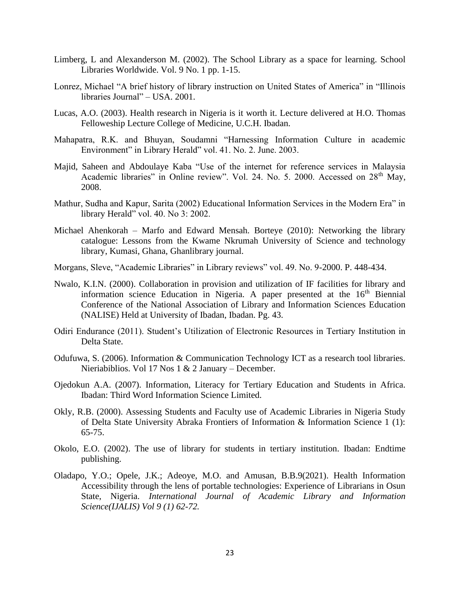- Limberg, L and Alexanderson M. (2002). The School Library as a space for learning. School Libraries Worldwide. Vol. 9 No. 1 pp. 1-15.
- Lonrez, Michael "A brief history of library instruction on United States of America" in "Illinois libraries Journal" – USA. 2001.
- Lucas, A.O. (2003). Health research in Nigeria is it worth it. Lecture delivered at H.O. Thomas Felloweship Lecture College of Medicine, U.C.H. Ibadan.
- Mahapatra, R.K. and Bhuyan, Soudamni "Harnessing Information Culture in academic Environment" in Library Herald" vol. 41. No. 2. June. 2003.
- Majid, Saheen and Abdoulaye Kaba "Use of the internet for reference services in Malaysia Academic libraries" in Online review". Vol. 24. No. 5. 2000. Accessed on 28<sup>th</sup> May, 2008.
- Mathur, Sudha and Kapur, Sarita (2002) Educational Information Services in the Modern Era" in library Herald" vol. 40. No 3: 2002.
- Michael Ahenkorah Marfo and Edward Mensah. Borteye (2010): Networking the library catalogue: Lessons from the Kwame Nkrumah University of Science and technology library, Kumasi, Ghana, Ghanlibrary journal.
- Morgans, Sleve, "Academic Libraries" in Library reviews" vol. 49. No. 9-2000. P. 448-434.
- Nwalo, K.I.N. (2000). Collaboration in provision and utilization of IF facilities for library and information science Education in Nigeria. A paper presented at the 16<sup>th</sup> Biennial Conference of the National Association of Library and Information Sciences Education (NALISE) Held at University of Ibadan, Ibadan. Pg. 43.
- Odiri Endurance (2011). Student's Utilization of Electronic Resources in Tertiary Institution in Delta State.
- Odufuwa, S. (2006). Information & Communication Technology ICT as a research tool libraries. Nieriabiblios. Vol 17 Nos 1 & 2 January – December.
- Ojedokun A.A. (2007). Information, Literacy for Tertiary Education and Students in Africa. Ibadan: Third Word Information Science Limited.
- Okly, R.B. (2000). Assessing Students and Faculty use of Academic Libraries in Nigeria Study of Delta State University Abraka Frontiers of Information & Information Science 1 (1): 65-75.
- Okolo, E.O. (2002). The use of library for students in tertiary institution. Ibadan: Endtime publishing.
- Oladapo, Y.O.; Opele, J.K.; Adeoye, M.O. and Amusan, B.B.9(2021). Health Information Accessibility through the lens of portable technologies: Experience of Librarians in Osun State, Nigeria. *International Journal of Academic Library and Information Science(IJALIS) Vol 9 (1) 62-72.*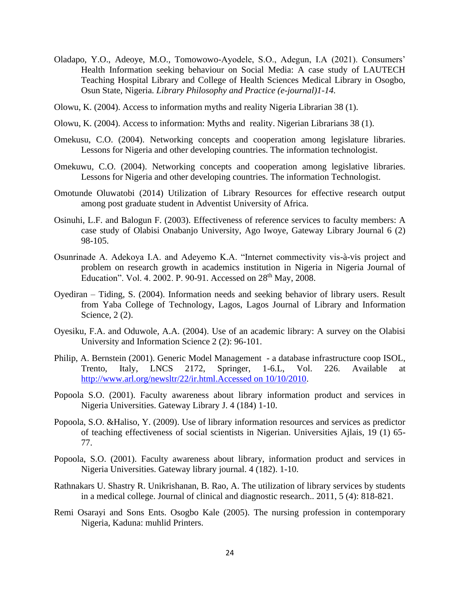- Oladapo, Y.O., Adeoye, M.O., Tomowowo-Ayodele, S.O., Adegun, I.A (2021). Consumers' Health Information seeking behaviour on Social Media: A case study of LAUTECH Teaching Hospital Library and College of Health Sciences Medical Library in Osogbo, Osun State, Nigeria. *Library Philosophy and Practice (e-journal)1-14.*
- Olowu, K. (2004). Access to information myths and reality Nigeria Librarian 38 (1).
- Olowu, K. (2004). Access to information: Myths and reality. Nigerian Librarians 38 (1).
- Omekusu, C.O. (2004). Networking concepts and cooperation among legislature libraries. Lessons for Nigeria and other developing countries. The information technologist.
- Omekuwu, C.O. (2004). Networking concepts and cooperation among legislative libraries. Lessons for Nigeria and other developing countries. The information Technologist.
- Omotunde Oluwatobi (2014) Utilization of Library Resources for effective research output among post graduate student in Adventist University of Africa.
- Osinuhi, L.F. and Balogun F. (2003). Effectiveness of reference services to faculty members: A case study of Olabisi Onabanjo University, Ago Iwoye, Gateway Library Journal 6 (2) 98-105.
- Osunrinade A. Adekoya I.A. and Adeyemo K.A. "Internet commectivity vis-à-vis project and problem on research growth in academics institution in Nigeria in Nigeria Journal of Education". Vol. 4. 2002. P. 90-91. Accessed on 28th May, 2008.
- Oyediran Tiding, S. (2004). Information needs and seeking behavior of library users. Result from Yaba College of Technology, Lagos, Lagos Journal of Library and Information Science, 2 (2).
- Oyesiku, F.A. and Oduwole, A.A. (2004). Use of an academic library: A survey on the Olabisi University and Information Science 2 (2): 96-101.
- Philip, A. Bernstein (2001). Generic Model Management a database infrastructure coop ISOL, Trento, Italy, LNCS 2172, Springer, 1-6.L, Vol. 226. Available at [http://www.arl.org/newsltr/22/ir.html.Accessed on 10/10/2010.](http://www.arl.org/newsltr/22/ir.html.Accessed%20on%2010/10/2010)
- Popoola S.O. (2001). Faculty awareness about library information product and services in Nigeria Universities. Gateway Library J. 4 (184) 1-10.
- Popoola, S.O. &Haliso, Y. (2009). Use of library information resources and services as predictor of teaching effectiveness of social scientists in Nigerian. Universities Ajlais, 19 (1) 65- 77.
- Popoola, S.O. (2001). Faculty awareness about library, information product and services in Nigeria Universities. Gateway library journal. 4 (182). 1-10.
- Rathnakars U. Shastry R. Unikrishanan, B. Rao, A. The utilization of library services by students in a medical college. Journal of clinical and diagnostic research.. 2011, 5 (4): 818-821.
- Remi Osarayi and Sons Ents. Osogbo Kale (2005). The nursing profession in contemporary Nigeria, Kaduna: muhlid Printers.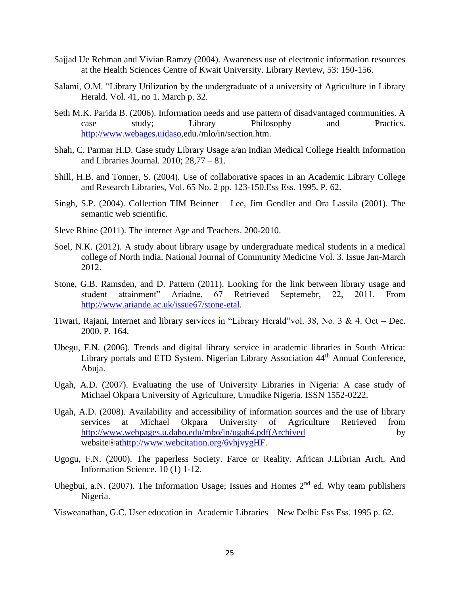- Sajjad Ue Rehman and Vivian Ramzy (2004). Awareness use of electronic information resources at the Health Sciences Centre of Kwait University. Library Review, 53: 150-156.
- Salami, O.M. "Library Utilization by the undergraduate of a university of Agriculture in Library Herald. Vol. 41, no 1. March p. 32.
- Seth M.K. Parida B. (2006). Information needs and use pattern of disadvantaged communities. A case study; Library Philosophy and Practics. [http://www.webages.uidaso,](http://www.webages.uidaso/)edu./mlo/in/section.htm.
- Shah, C. Parmar H.D. Case study Library Usage a/an Indian Medical College Health Information and Libraries Journal. 2010; 28,77 – 81.
- Shill, H.B. and Tonner, S. (2004). Use of collaborative spaces in an Academic Library College and Research Libraries, Vol. 65 No. 2 pp. 123-150.Ess Ess. 1995. P. 62.
- Singh, S.P. (2004). Collection TIM Beinner Lee, Jim Gendler and Ora Lassila (2001). The semantic web scientific.
- Sleve Rhine (2011). The internet Age and Teachers. 200-2010.
- Soel, N.K. (2012). A study about library usage by undergraduate medical students in a medical college of North India. National Journal of Community Medicine Vol. 3. Issue Jan-March 2012.
- Stone, G.B. Ramsden, and D. Pattern (2011). Looking for the link between library usage and student attainment" Ariadne, 67 Retrieved Septemebr, 22, 2011. From student attainment" Ariadne, 67 Retrieved Septemebr, 22, 2011. From [http://www.ariande.ac.uk/issue67/stone-etal.](http://www.ariande.ac.uk/issue67/stone-etal)
- Tiwari, Rajani, Internet and library services in "Library Herald"vol. 38, No. 3 & 4. Oct Dec. 2000. P. 164.
- Ubegu, F.N. (2006). Trends and digital library service in academic libraries in South Africa: Library portals and ETD System. Nigerian Library Association 44<sup>th</sup> Annual Conference, Abuja.
- Ugah, A.D. (2007). Evaluating the use of University Libraries in Nigeria: A case study of Michael Okpara University of Agriculture, Umudike Nigeria. ISSN 1552-0222.
- Ugah, A.D. (2008). Availability and accessibility of information sources and the use of library services at Michael Okpara University of Agriculture Retrieved from [http://www.webpages.u.daho.edu/mbo/in/ugah4.pdf\(Archived](http://www.webpages.u.daho.edu/mbo/in/ugah4.pdf(Archived) by website®a[thttp://www.webcitation.org/6vhjvygHF.](http://www.webcitation.org/6vhjvygHF)
- Ugogu, F.N. (2000). The paperless Society. Farce or Reality. African J.Librian Arch. And Information Science. 10 (1) 1-12.
- Uhegbui, a.N. (2007). The Information Usage; Issues and Homes  $2<sup>nd</sup>$  ed. Why team publishers Nigeria.
- Visweanathan, G.C. User education in Academic Libraries New Delhi: Ess Ess. 1995 p. 62.